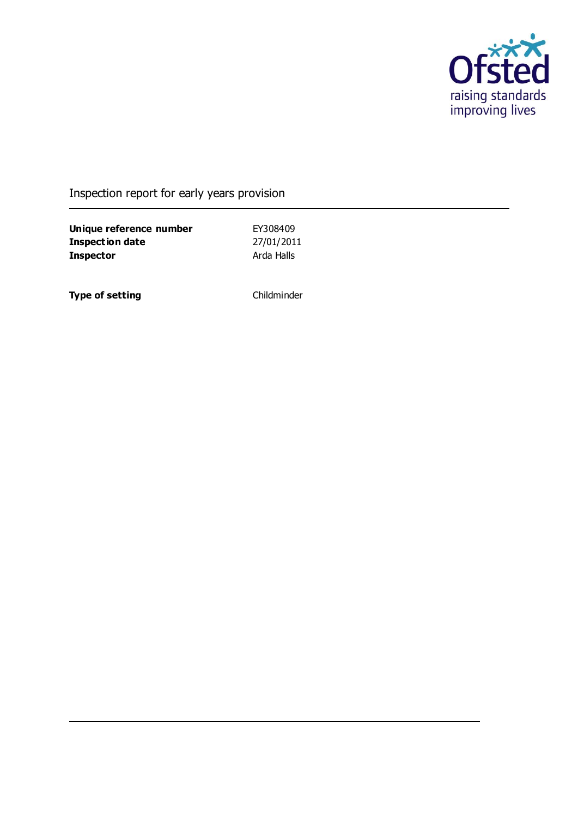

# Inspection report for early years provision

**Unique reference number** EY308409<br> **Inspection date** 27/01/2011 **Inspection date Inspector** Arda Halls

**Type of setting** Childminder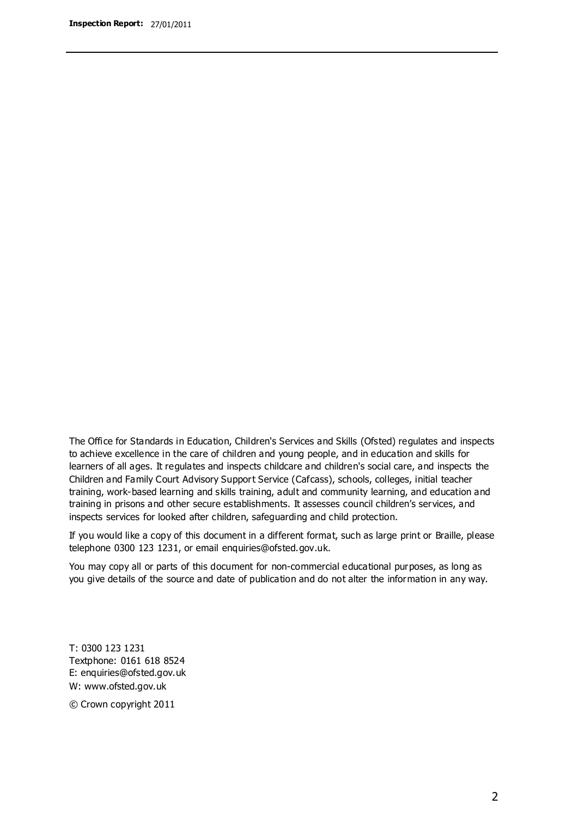The Office for Standards in Education, Children's Services and Skills (Ofsted) regulates and inspects to achieve excellence in the care of children and young people, and in education and skills for learners of all ages. It regulates and inspects childcare and children's social care, and inspects the Children and Family Court Advisory Support Service (Cafcass), schools, colleges, initial teacher training, work-based learning and skills training, adult and community learning, and education and training in prisons and other secure establishments. It assesses council children's services, and inspects services for looked after children, safeguarding and child protection.

If you would like a copy of this document in a different format, such as large print or Braille, please telephone 0300 123 1231, or email enquiries@ofsted.gov.uk.

You may copy all or parts of this document for non-commercial educational purposes, as long as you give details of the source and date of publication and do not alter the information in any way.

T: 0300 123 1231 Textphone: 0161 618 8524 E: enquiries@ofsted.gov.uk W: [www.ofsted.gov.uk](http://www.ofsted.gov.uk/)

© Crown copyright 2011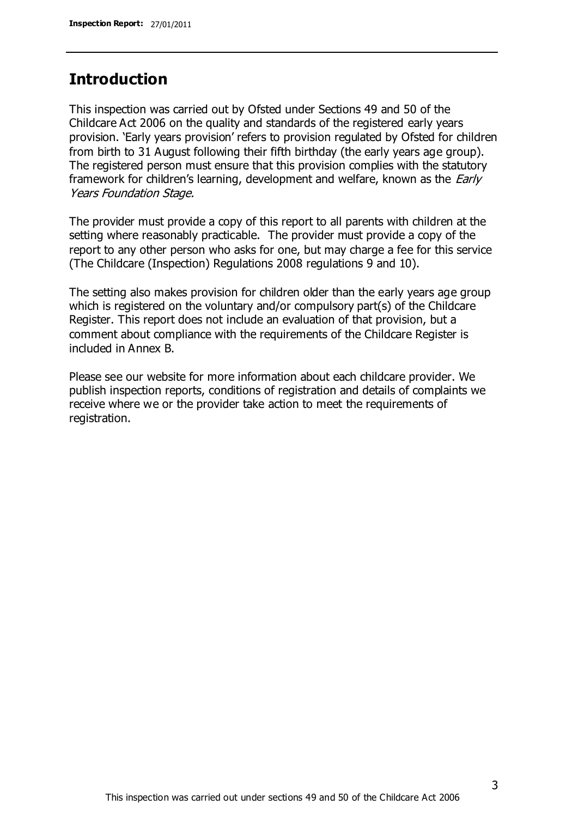### **Introduction**

This inspection was carried out by Ofsted under Sections 49 and 50 of the Childcare Act 2006 on the quality and standards of the registered early years provision. 'Early years provision' refers to provision regulated by Ofsted for children from birth to 31 August following their fifth birthday (the early years age group). The registered person must ensure that this provision complies with the statutory framework for children's learning, development and welfare, known as the *Early* Years Foundation Stage.

The provider must provide a copy of this report to all parents with children at the setting where reasonably practicable. The provider must provide a copy of the report to any other person who asks for one, but may charge a fee for this service (The Childcare (Inspection) Regulations 2008 regulations 9 and 10).

The setting also makes provision for children older than the early years age group which is registered on the voluntary and/or compulsory part(s) of the Childcare Register. This report does not include an evaluation of that provision, but a comment about compliance with the requirements of the Childcare Register is included in Annex B.

Please see our website for more information about each childcare provider. We publish inspection reports, conditions of registration and details of complaints we receive where we or the provider take action to meet the requirements of registration.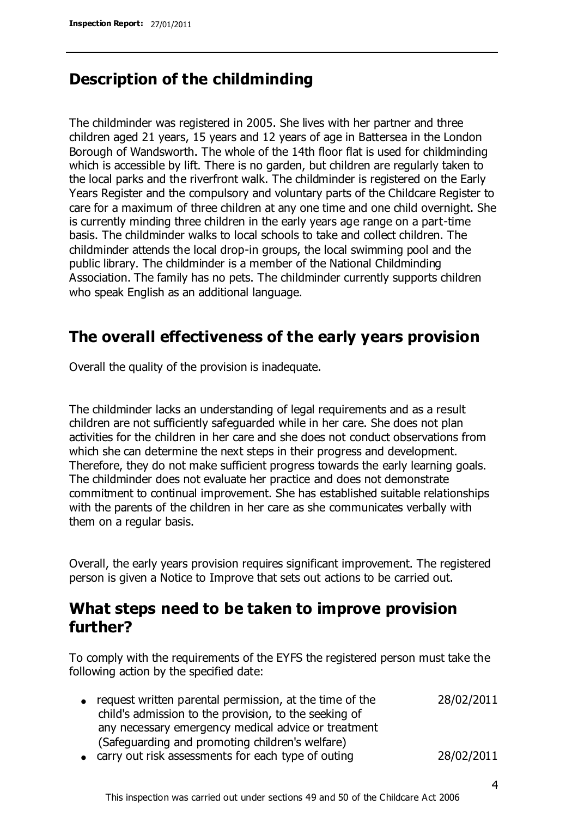### **Description of the childminding**

The childminder was registered in 2005. She lives with her partner and three children aged 21 years, 15 years and 12 years of age in Battersea in the London Borough of Wandsworth. The whole of the 14th floor flat is used for childminding which is accessible by lift. There is no garden, but children are regularly taken to the local parks and the riverfront walk. The childminder is registered on the Early Years Register and the compulsory and voluntary parts of the Childcare Register to care for a maximum of three children at any one time and one child overnight. She is currently minding three children in the early years age range on a part-time basis. The childminder walks to local schools to take and collect children. The childminder attends the local drop-in groups, the local swimming pool and the public library. The childminder is a member of the National Childminding Association. The family has no pets. The childminder currently supports children who speak English as an additional language.

# **The overall effectiveness of the early years provision**

Overall the quality of the provision is inadequate.

The childminder lacks an understanding of legal requirements and as a result children are not sufficiently safeguarded while in her care. She does not plan activities for the children in her care and she does not conduct observations from which she can determine the next steps in their progress and development. Therefore, they do not make sufficient progress towards the early learning goals. The childminder does not evaluate her practice and does not demonstrate commitment to continual improvement. She has established suitable relationships with the parents of the children in her care as she communicates verbally with them on a regular basis.

Overall, the early years provision requires significant improvement. The registered person is given a Notice to Improve that sets out actions to be carried out.

# **What steps need to be taken to improve provision further?**

To comply with the requirements of the EYFS the registered person must take the following action by the specified date:

- request written parental permission, at the time of the child's admission to the provision, to the seeking of any necessary emergency medical advice or treatment (Safeguarding and promoting children's welfare) 28/02/2011
- carry out risk assessments for each type of outing 28/02/2011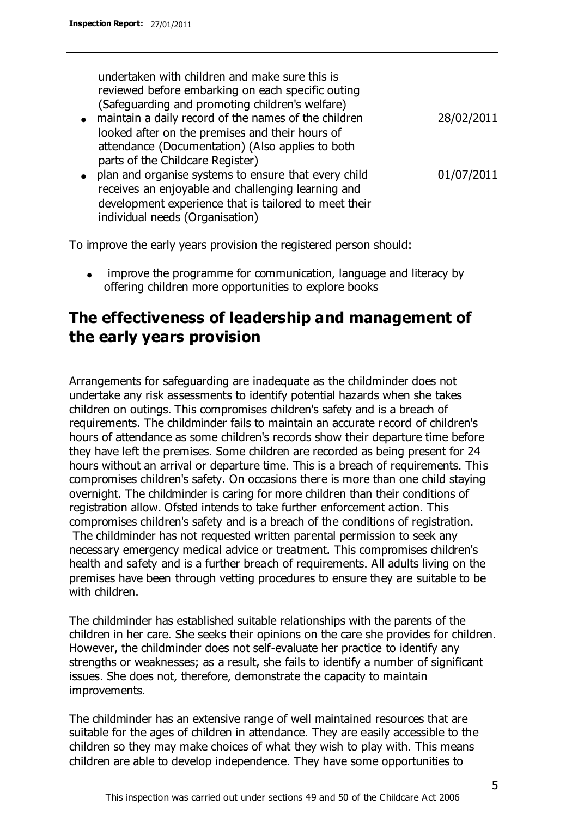undertaken with children and make sure this is reviewed before embarking on each specific outing (Safeguarding and promoting children's welfare)

- maintain a daily record of the names of the children looked after on the premises and their hours of attendance (Documentation) (Also applies to both parts of the Childcare Register)
- plan and organise systems to ensure that every child 01/07/2011  $\bullet$ receives an enjoyable and challenging learning and development experience that is tailored to meet their individual needs (Organisation)

To improve the early years provision the registered person should:

improve the programme for communication, language and literacy by offering children more opportunities to explore books

# **The effectiveness of leadership and management of the early years provision**

Arrangements for safeguarding are inadequate as the childminder does not undertake any risk assessments to identify potential hazards when she takes children on outings. This compromises children's safety and is a breach of requirements. The childminder fails to maintain an accurate record of children's hours of attendance as some children's records show their departure time before they have left the premises. Some children are recorded as being present for 24 hours without an arrival or departure time. This is a breach of requirements. This compromises children's safety. On occasions there is more than one child staying overnight. The childminder is caring for more children than their conditions of registration allow. Ofsted intends to take further enforcement action. This compromises children's safety and is a breach of the conditions of registration.

The childminder has not requested written parental permission to seek any necessary emergency medical advice or treatment. This compromises children's health and safety and is a further breach of requirements. All adults living on the premises have been through vetting procedures to ensure they are suitable to be with children.

The childminder has established suitable relationships with the parents of the children in her care. She seeks their opinions on the care she provides for children. However, the childminder does not self-evaluate her practice to identify any strengths or weaknesses; as a result, she fails to identify a number of significant issues. She does not, therefore, demonstrate the capacity to maintain improvements.

The childminder has an extensive range of well maintained resources that are suitable for the ages of children in attendance. They are easily accessible to the children so they may make choices of what they wish to play with. This means children are able to develop independence. They have some opportunities to

28/02/2011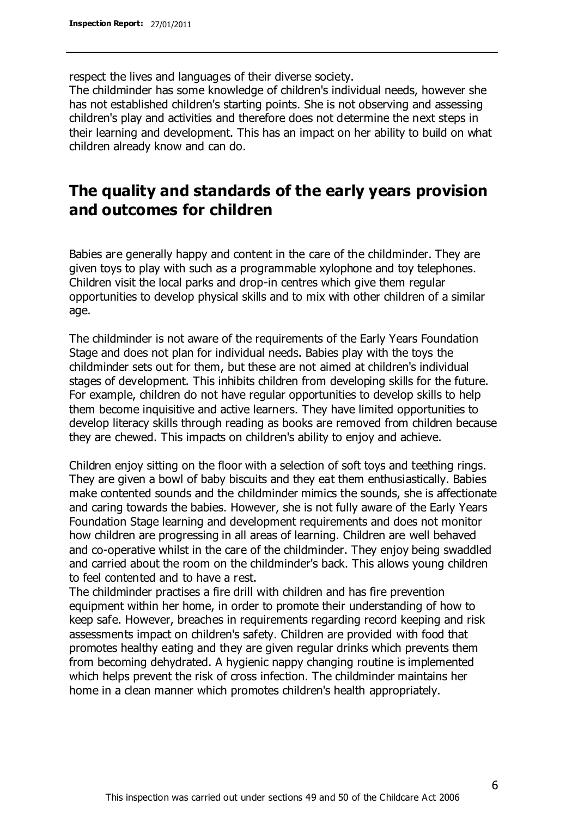respect the lives and languages of their diverse society.

The childminder has some knowledge of children's individual needs, however she has not established children's starting points. She is not observing and assessing children's play and activities and therefore does not determine the next steps in their learning and development. This has an impact on her ability to build on what children already know and can do.

# **The quality and standards of the early years provision and outcomes for children**

Babies are generally happy and content in the care of the childminder. They are given toys to play with such as a programmable xylophone and toy telephones. Children visit the local parks and drop-in centres which give them regular opportunities to develop physical skills and to mix with other children of a similar age.

The childminder is not aware of the requirements of the Early Years Foundation Stage and does not plan for individual needs. Babies play with the toys the childminder sets out for them, but these are not aimed at children's individual stages of development. This inhibits children from developing skills for the future. For example, children do not have regular opportunities to develop skills to help them become inquisitive and active learners. They have limited opportunities to develop literacy skills through reading as books are removed from children because they are chewed. This impacts on children's ability to enjoy and achieve.

Children enjoy sitting on the floor with a selection of soft toys and teething rings. They are given a bowl of baby biscuits and they eat them enthusiastically. Babies make contented sounds and the childminder mimics the sounds, she is affectionate and caring towards the babies. However, she is not fully aware of the Early Years Foundation Stage learning and development requirements and does not monitor how children are progressing in all areas of learning. Children are well behaved and co-operative whilst in the care of the childminder. They enjoy being swaddled and carried about the room on the childminder's back. This allows young children to feel contented and to have a rest.

The childminder practises a fire drill with children and has fire prevention equipment within her home, in order to promote their understanding of how to keep safe. However, breaches in requirements regarding record keeping and risk assessments impact on children's safety. Children are provided with food that promotes healthy eating and they are given regular drinks which prevents them from becoming dehydrated. A hygienic nappy changing routine is implemented which helps prevent the risk of cross infection. The childminder maintains her home in a clean manner which promotes children's health appropriately.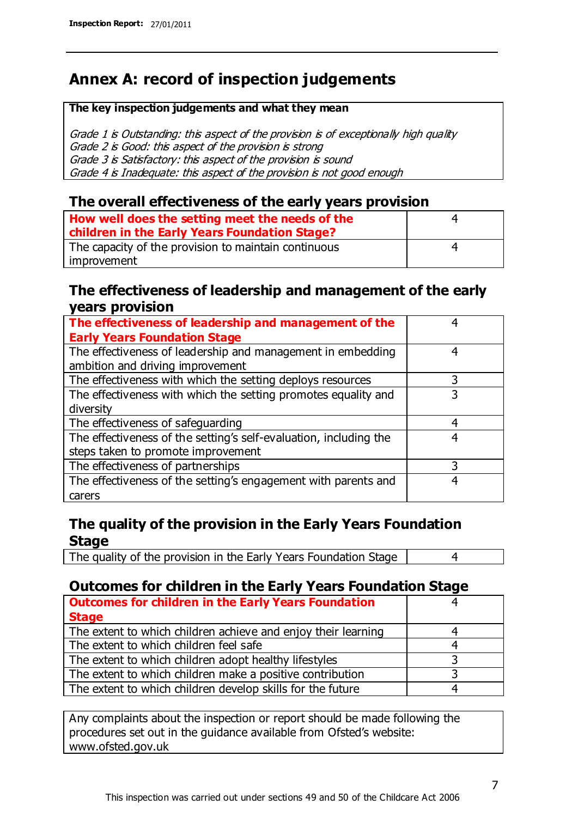# **Annex A: record of inspection judgements**

#### **The key inspection judgements and what they mean**

Grade 1 is Outstanding: this aspect of the provision is of exceptionally high quality Grade 2 is Good: this aspect of the provision is strong Grade 3 is Satisfactory: this aspect of the provision is sound Grade 4 is Inadequate: this aspect of the provision is not good enough

#### **The overall effectiveness of the early years provision**

| How well does the setting meet the needs of the<br>children in the Early Years Foundation Stage? | 4 |
|--------------------------------------------------------------------------------------------------|---|
| The capacity of the provision to maintain continuous                                             | 4 |
| improvement                                                                                      |   |

#### **The effectiveness of leadership and management of the early years provision**

| The effectiveness of leadership and management of the             |   |
|-------------------------------------------------------------------|---|
| <b>Early Years Foundation Stage</b>                               |   |
| The effectiveness of leadership and management in embedding       | 4 |
| ambition and driving improvement                                  |   |
| The effectiveness with which the setting deploys resources        |   |
| The effectiveness with which the setting promotes equality and    | 3 |
| diversity                                                         |   |
| The effectiveness of safeguarding                                 | 4 |
| The effectiveness of the setting's self-evaluation, including the | 4 |
| steps taken to promote improvement                                |   |
| The effectiveness of partnerships                                 | 3 |
| The effectiveness of the setting's engagement with parents and    | 4 |
| carers                                                            |   |

### **The quality of the provision in the Early Years Foundation Stage**

The quality of the provision in the Early Years Foundation Stage | 4

### **Outcomes for children in the Early Years Foundation Stage**

| <b>Outcomes for children in the Early Years Foundation</b>    |  |
|---------------------------------------------------------------|--|
| <b>Stage</b>                                                  |  |
| The extent to which children achieve and enjoy their learning |  |
| The extent to which children feel safe                        |  |
| The extent to which children adopt healthy lifestyles         |  |
| The extent to which children make a positive contribution     |  |
| The extent to which children develop skills for the future    |  |

Any complaints about the inspection or report should be made following the procedures set out in the guidance available from Ofsted's website: www.ofsted.gov.uk